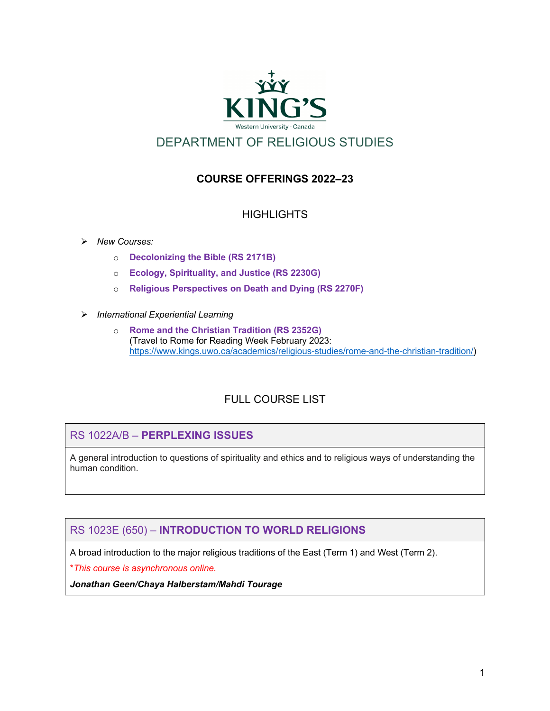

# **COURSE OFFERINGS 2022–23**

# HIGHI IGHTS

#### Ø *New Courses:*

- o **Decolonizing the Bible (RS 2171B)**
- o **Ecology, Spirituality, and Justice (RS 2230G)**
- o **Religious Perspectives on Death and Dying (RS 2270F)**
- Ø *International Experiential Learning*
	- o **Rome and the Christian Tradition (RS 2352G)** (Travel to Rome for Reading Week February 2023: https://www.kings.uwo.ca/academics/religious-studies/rome-and-the-christian-tradition/)

# FULL COURSE LIST

## RS 1022A/B – **PERPLEXING ISSUES**

A general introduction to questions of spirituality and ethics and to religious ways of understanding the human condition.

# RS 1023E (650) – **INTRODUCTION TO WORLD RELIGIONS**

A broad introduction to the major religious traditions of the East (Term 1) and West (Term 2).

\**This course is asynchronous online.*

*Jonathan Geen/Chaya Halberstam/Mahdi Tourage*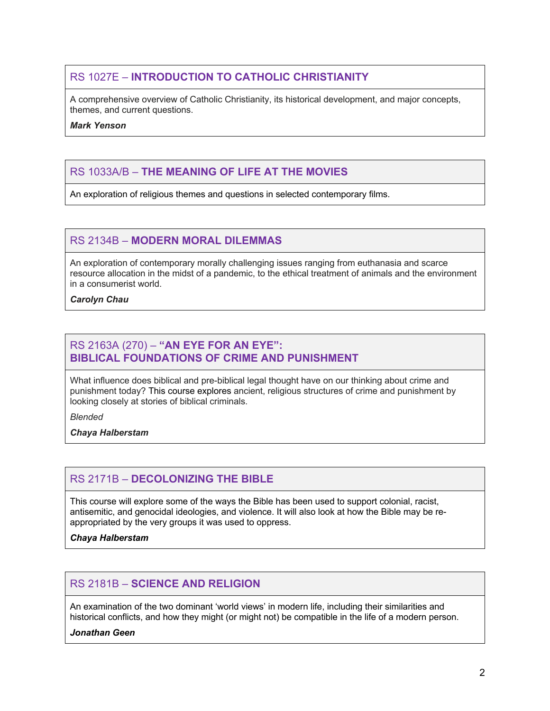# RS 1027E – **INTRODUCTION TO CATHOLIC CHRISTIANITY**

A comprehensive overview of Catholic Christianity, its historical development, and major concepts, themes, and current questions.

#### *Mark Yenson*

# RS 1033A/B – **THE MEANING OF LIFE AT THE MOVIES**

An exploration of religious themes and questions in selected contemporary films.

# RS 2134B – **MODERN MORAL DILEMMAS**

An exploration of contemporary morally challenging issues ranging from euthanasia and scarce resource allocation in the midst of a pandemic, to the ethical treatment of animals and the environment in a consumerist world.

#### *Carolyn Chau*

#### RS 2163A (270) – **"AN EYE FOR AN EYE": BIBLICAL FOUNDATIONS OF CRIME AND PUNISHMENT**

What influence does biblical and pre-biblical legal thought have on our thinking about crime and punishment today? This course explores ancient, religious structures of crime and punishment by looking closely at stories of biblical criminals.

*Blended*

*Chaya Halberstam*

# RS 2171B – **DECOLONIZING THE BIBLE**

This course will explore some of the ways the Bible has been used to support colonial, racist, antisemitic, and genocidal ideologies, and violence. It will also look at how the Bible may be reappropriated by the very groups it was used to oppress.

*Chaya Halberstam*

## RS 2181B – **SCIENCE AND RELIGION**

An examination of the two dominant 'world views' in modern life, including their similarities and historical conflicts, and how they might (or might not) be compatible in the life of a modern person.

*Jonathan Geen*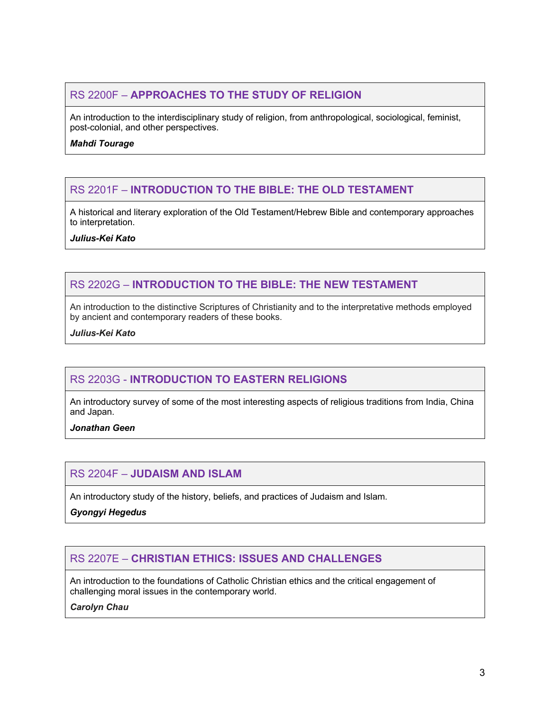# RS 2200F – **APPROACHES TO THE STUDY OF RELIGION**

An introduction to the interdisciplinary study of religion, from anthropological, sociological, feminist, post-colonial, and other perspectives.

*Mahdi Tourage*

# RS 2201F – **INTRODUCTION TO THE BIBLE: THE OLD TESTAMENT**

A historical and literary exploration of the Old Testament/Hebrew Bible and contemporary approaches to interpretation.

*Julius-Kei Kato*

# RS 2202G – **INTRODUCTION TO THE BIBLE: THE NEW TESTAMENT**

An introduction to the distinctive Scriptures of Christianity and to the interpretative methods employed by ancient and contemporary readers of these books.

*Julius-Kei Kato*

## RS 2203G - **INTRODUCTION TO EASTERN RELIGIONS**

An introductory survey of some of the most interesting aspects of religious traditions from India, China and Japan.

*Jonathan Geen*

## RS 2204F – **JUDAISM AND ISLAM**

An introductory study of the history, beliefs, and practices of Judaism and Islam.

*Gyongyi Hegedus*

## RS 2207E – **CHRISTIAN ETHICS: ISSUES AND CHALLENGES**

An introduction to the foundations of Catholic Christian ethics and the critical engagement of challenging moral issues in the contemporary world.

#### *Carolyn Chau*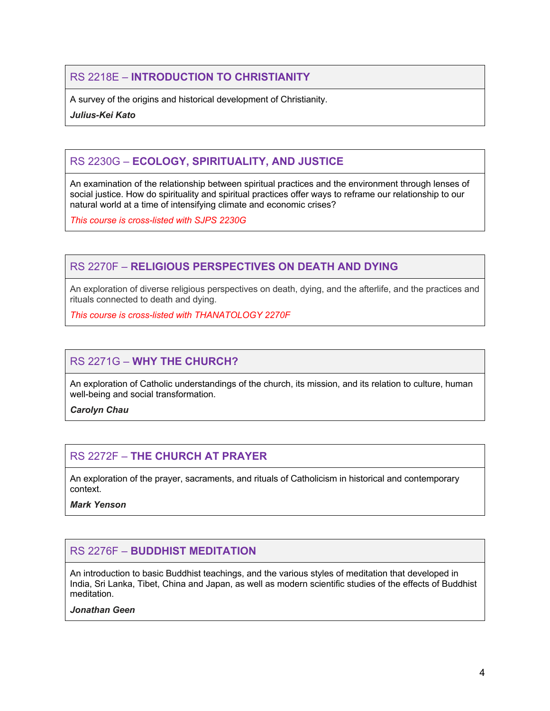# RS 2218E – **INTRODUCTION TO CHRISTIANITY**

A survey of the origins and historical development of Christianity.

*Julius-Kei Kato*

# RS 2230G – **ECOLOGY, SPIRITUALITY, AND JUSTICE**

An examination of the relationship between spiritual practices and the environment through lenses of social justice. How do spirituality and spiritual practices offer ways to reframe our relationship to our natural world at a time of intensifying climate and economic crises?

*This course is cross-listed with SJPS 2230G*

# RS 2270F – **RELIGIOUS PERSPECTIVES ON DEATH AND DYING**

An exploration of diverse religious perspectives on death, dying, and the afterlife, and the practices and rituals connected to death and dying.

*This course is cross-listed with THANATOLOGY 2270F*

# RS 2271G – **WHY THE CHURCH?**

An exploration of Catholic understandings of the church, its mission, and its relation to culture, human well-being and social transformation.

*Carolyn Chau*

# RS 2272F – **THE CHURCH AT PRAYER**

An exploration of the prayer, sacraments, and rituals of Catholicism in historical and contemporary context.

*Mark Yenson*

## RS 2276F – **BUDDHIST MEDITATION**

An introduction to basic Buddhist teachings, and the various styles of meditation that developed in India, Sri Lanka, Tibet, China and Japan, as well as modern scientific studies of the effects of Buddhist meditation.

#### *Jonathan Geen*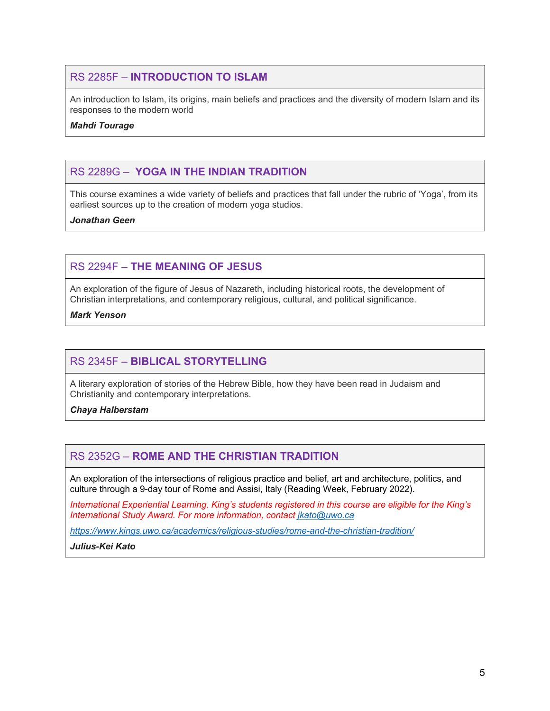## RS 2285F – **INTRODUCTION TO ISLAM**

An introduction to Islam, its origins, main beliefs and practices and the diversity of modern Islam and its responses to the modern world

#### *Mahdi Tourage*

## RS 2289G – **YOGA IN THE INDIAN TRADITION**

This course examines a wide variety of beliefs and practices that fall under the rubric of 'Yoga', from its earliest sources up to the creation of modern yoga studios.

*Jonathan Geen*

# RS 2294F – **THE MEANING OF JESUS**

An exploration of the figure of Jesus of Nazareth, including historical roots, the development of Christian interpretations, and contemporary religious, cultural, and political significance.

*Mark Yenson*

## RS 2345F – **BIBLICAL STORYTELLING**

A literary exploration of stories of the Hebrew Bible, how they have been read in Judaism and Christianity and contemporary interpretations.

*Chaya Halberstam*

## RS 2352G – **ROME AND THE CHRISTIAN TRADITION**

An exploration of the intersections of religious practice and belief, art and architecture, politics, and culture through a 9-day tour of Rome and Assisi, Italy (Reading Week, February 2022).

*International Experiential Learning. King's students registered in this course are eligible for the King's International Study Award. For more information, contact jkato@uwo.ca*

*https://www.kings.uwo.ca/academics/religious-studies/rome-and-the-christian-tradition/*

*Julius-Kei Kato*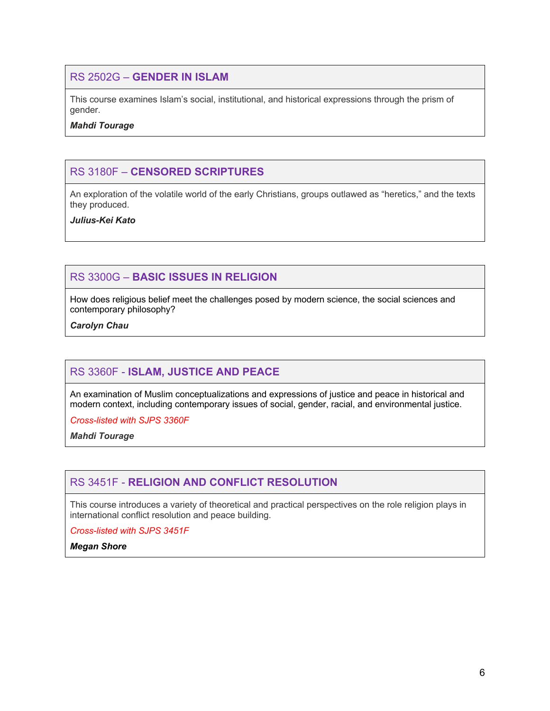#### RS 2502G – **GENDER IN ISLAM**

This course examines Islam's social, institutional, and historical expressions through the prism of gender.

*Mahdi Tourage*

# RS 3180F – **CENSORED SCRIPTURES**

An exploration of the volatile world of the early Christians, groups outlawed as "heretics," and the texts they produced.

*Julius-Kei Kato*

# RS 3300G – **BASIC ISSUES IN RELIGION**

How does religious belief meet the challenges posed by modern science, the social sciences and contemporary philosophy?

*Carolyn Chau*

## RS 3360F - **ISLAM, JUSTICE AND PEACE**

An examination of Muslim conceptualizations and expressions of justice and peace in historical and modern context, including contemporary issues of social, gender, racial, and environmental justice.

*Cross-listed with SJPS 3360F*

*Mahdi Tourage*

## RS 3451F - **RELIGION AND CONFLICT RESOLUTION**

This course introduces a variety of theoretical and practical perspectives on the role religion plays in international conflict resolution and peace building.

*Cross-listed with SJPS 3451F*

*Megan Shore*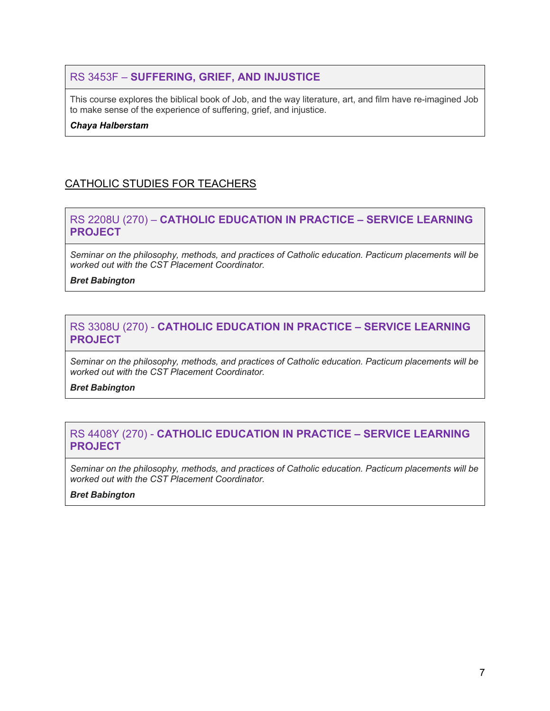# RS 3453F – **SUFFERING, GRIEF, AND INJUSTICE**

This course explores the biblical book of Job, and the way literature, art, and film have re-imagined Job to make sense of the experience of suffering, grief, and injustice.

*Chaya Halberstam*

# CATHOLIC STUDIES FOR TEACHERS

## RS 2208U (270) – **CATHOLIC EDUCATION IN PRACTICE – SERVICE LEARNING PROJECT**

*Seminar on the philosophy, methods, and practices of Catholic education. Pacticum placements will be worked out with the CST Placement Coordinator.*

*Bret Babington*

#### RS 3308U (270) - **CATHOLIC EDUCATION IN PRACTICE – SERVICE LEARNING PROJECT**

*Seminar on the philosophy, methods, and practices of Catholic education. Pacticum placements will be worked out with the CST Placement Coordinator.*

*Bret Babington*

## RS 4408Y (270) - **CATHOLIC EDUCATION IN PRACTICE – SERVICE LEARNING PROJECT**

*Seminar on the philosophy, methods, and practices of Catholic education. Pacticum placements will be worked out with the CST Placement Coordinator.*

#### *Bret Babington*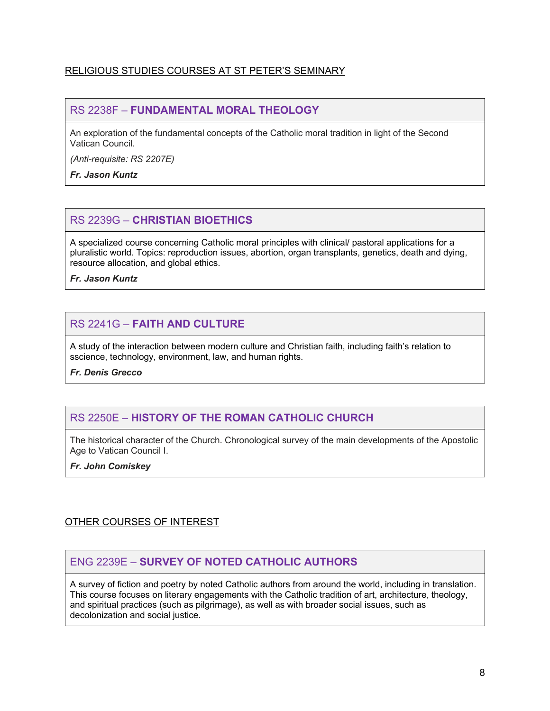#### RELIGIOUS STUDIES COURSES AT ST PETER'S SEMINARY

#### RS 2238F – **FUNDAMENTAL MORAL THEOLOGY**

An exploration of the fundamental concepts of the Catholic moral tradition in light of the Second Vatican Council.

*(Anti-requisite: RS 2207E)*

*Fr. Jason Kuntz*

# RS 2239G – **CHRISTIAN BIOETHICS**

A specialized course concerning Catholic moral principles with clinical/ pastoral applications for a pluralistic world. Topics: reproduction issues, abortion, organ transplants, genetics, death and dying, resource allocation, and global ethics.

*Fr. Jason Kuntz*

# RS 2241G – **FAITH AND CULTURE**

A study of the interaction between modern culture and Christian faith, including faith's relation to sscience, technology, environment, law, and human rights.

*Fr. Denis Grecco*

## RS 2250E – **HISTORY OF THE ROMAN CATHOLIC CHURCH**

The historical character of the Church. Chronological survey of the main developments of the Apostolic Age to Vatican Council I.

*Fr. John Comiskey*

## OTHER COURSES OF INTEREST

## ENG 2239E – **SURVEY OF NOTED CATHOLIC AUTHORS**

A survey of fiction and poetry by noted Catholic authors from around the world, including in translation. This course focuses on literary engagements with the Catholic tradition of art, architecture, theology, and spiritual practices (such as pilgrimage), as well as with broader social issues, such as decolonization and social justice.